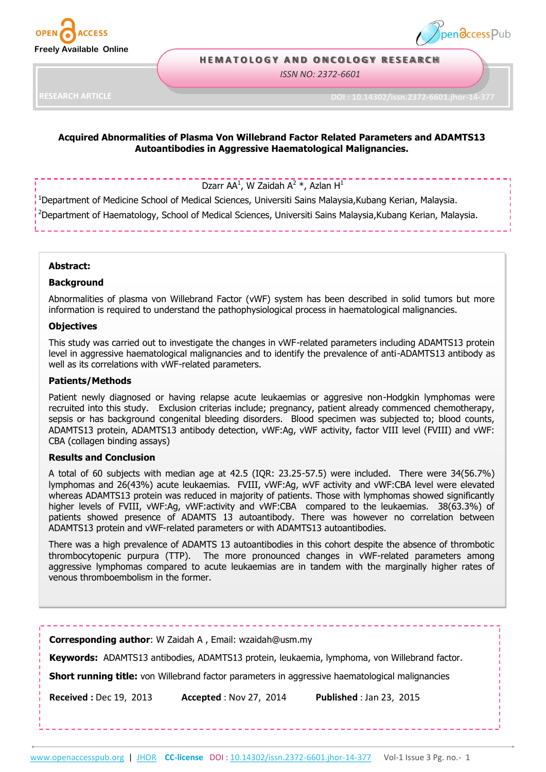



### **H E M A T O L O G Y A N D O N C O L O G Y R E S E A R C H**

*ISSN NO: 2372-6601*

**RESEARCH ARTICLE**

**DOI : 10.14302/issn.2372-6601.jhor-14-377**

## **Acquired Abnormalities of Plasma Von Willebrand Factor Related Parameters and ADAMTS13 Autoantibodies in Aggressive Haematological Malignancies.**

# Dzarr AA<sup>1</sup>, W Zaidah A<sup>2</sup> \*, Azlan H<sup>1</sup>

<sup>1</sup>Department of Medicine School of Medical Sciences, Universiti Sains Malaysia,Kubang Kerian, Malaysia. <sup>2</sup>Department of Haematology, School of Medical Sciences, Universiti Sains Malaysia,Kubang Kerian, Malaysia.

### **Abstract:**

#### **Background**

Abnormalities of plasma von Willebrand Factor (vWF) system has been described in solid tumors but more information is required to understand the pathophysiological process in haematological malignancies.

### **Objectives**

This study was carried out to investigate the changes in vWF-related parameters including ADAMTS13 protein level in aggressive haematological malignancies and to identify the prevalence of anti-ADAMTS13 antibody as well as its correlations with vWF-related parameters.

#### **Patients/Methods**

Patient newly diagnosed or having relapse acute leukaemias or aggresive non-Hodgkin lymphomas were recruited into this study. Exclusion criterias include; pregnancy, patient already commenced chemotherapy, sepsis or has background congenital bleeding disorders. Blood specimen was subjected to; blood counts, ADAMTS13 protein, ADAMTS13 antibody detection, vWF:Ag, vWF activity, factor VIII level (FVIII) and vWF: CBA (collagen binding assays)

### **Results and Conclusion**

A total of 60 subjects with median age at 42.5 (IQR: 23.25-57.5) were included. There were 34(56.7%) lymphomas and 26(43%) acute leukaemias. FVIII, vWF:Ag, wVF activity and vWF:CBA level were elevated whereas ADAMTS13 protein was reduced in majority of patients. Those with lymphomas showed significantly higher levels of FVIII, vWF:Ag, vWF:activity and vWF:CBA compared to the leukaemias. 38(63.3%) of patients showed presence of ADAMTS 13 autoantibody. There was however no correlation between ADAMTS13 protein and vWF-related parameters or with ADAMTS13 autoantibodies.

There was a high prevalence of ADAMTS 13 autoantibodies in this cohort despite the absence of thrombotic thrombocytopenic purpura (TTP). The more pronounced changes in vWF-related parameters among aggressive lymphomas compared to acute leukaemias are in tandem with the marginally higher rates of venous thromboembolism in the former.

**Corresponding author**: W Zaidah A , Email: wzaidah@usm.my

**Keywords:** ADAMTS13 antibodies, ADAMTS13 protein, leukaemia, lymphoma, von Willebrand factor.

**Short running title:** von Willebrand factor parameters in aggressive haematological malignancies

**Received :** Dec 19, 2013 **Accepted** : Nov 27, 2014 **Published** : Jan 23, 2015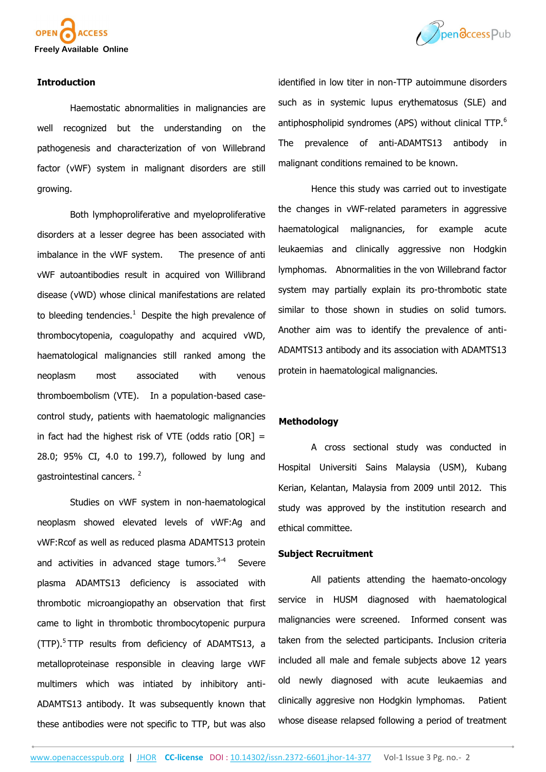



### **Introduction**

Haemostatic abnormalities in malignancies are well recognized but the understanding on the pathogenesis and characterization of von Willebrand factor (vWF) system in malignant disorders are still growing.

Both lymphoproliferative and myeloproliferative disorders at a lesser degree has been associated with imbalance in the vWF system. The presence of anti vWF autoantibodies result in acquired von Willibrand disease (vWD) whose clinical manifestations are related to bleeding tendencies. $1$  Despite the high prevalence of thrombocytopenia, coagulopathy and acquired vWD, haematological malignancies still ranked among the neoplasm most associated with venous thromboembolism (VTE). In a population-based casecontrol study, patients with haematologic malignancies in fact had the highest risk of VTE (odds ratio  $[OR] =$ 28.0; 95% CI, 4.0 to 199.7), followed by lung and gastrointestinal cancers.<sup>2</sup>

Studies on vWF system in non-haematological neoplasm showed elevated levels of vWF:Ag and vWF:Rcof as well as reduced plasma ADAMTS13 protein and activities in advanced stage tumors.<sup>3-4</sup> Severe plasma ADAMTS13 deficiency is associated with thrombotic microangiopathy an observation that first came to light in thrombotic thrombocytopenic purpura (TTP).<sup>5</sup>TTP results from deficiency of ADAMTS13, a metalloproteinase responsible in cleaving large vWF multimers which was intiated by inhibitory anti-ADAMTS13 antibody. It was subsequently known that these antibodies were not specific to TTP, but was also

identified in low titer in non-TTP autoimmune disorders such as in systemic lupus erythematosus (SLE) and antiphospholipid syndromes (APS) without clinical TTP.<sup>6</sup> The prevalence of anti-ADAMTS13 antibody in malignant conditions remained to be known.

Hence this study was carried out to investigate the changes in vWF-related parameters in aggressive haematological malignancies, for example acute leukaemias and clinically aggressive non Hodgkin lymphomas. Abnormalities in the von Willebrand factor system may partially explain its pro-thrombotic state similar to those shown in studies on solid tumors. Another aim was to identify the prevalence of anti-ADAMTS13 antibody and its association with ADAMTS13 protein in haematological malignancies.

### **Methodology**

A cross sectional study was conducted in Hospital Universiti Sains Malaysia (USM), Kubang Kerian, Kelantan, Malaysia from 2009 until 2012. This study was approved by the institution research and ethical committee.

### **Subject Recruitment**

All patients attending the haemato-oncology service in HUSM diagnosed with haematological malignancies were screened. Informed consent was taken from the selected participants. Inclusion criteria included all male and female subjects above 12 years old newly diagnosed with acute leukaemias and clinically aggresive non Hodgkin lymphomas. Patient whose disease relapsed following a period of treatment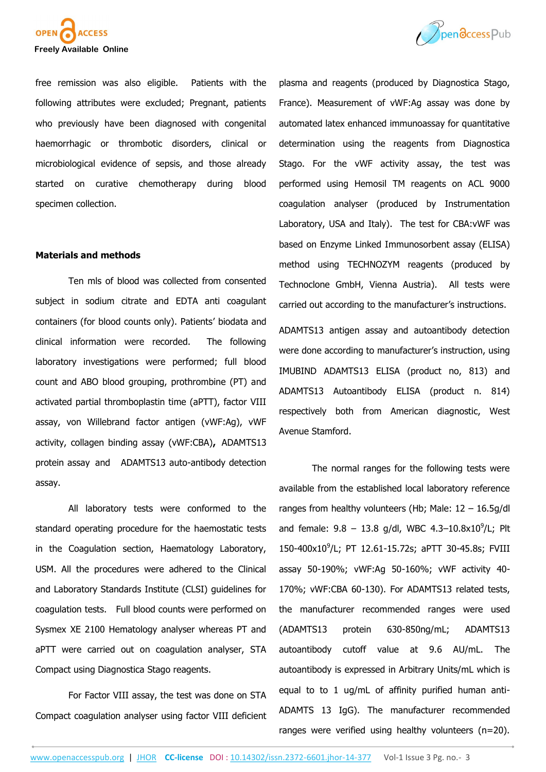

free remission was also eligible. Patients with the following attributes were excluded; Pregnant, patients who previously have been diagnosed with congenital haemorrhagic or thrombotic disorders, clinical or microbiological evidence of sepsis, and those already started on curative chemotherapy during blood specimen collection.

### **Materials and methods**

Ten mls of blood was collected from consented subject in sodium citrate and EDTA anti coagulant containers (for blood counts only). Patients' biodata and clinical information were recorded. The following laboratory investigations were performed; full blood count and ABO blood grouping, prothrombine (PT) and activated partial thromboplastin time (aPTT), factor VIII assay, von Willebrand factor antigen (vWF:Ag), vWF activity, collagen binding assay (vWF:CBA)**,** ADAMTS13 protein assay andADAMTS13 auto-antibody detection assay.

All laboratory tests were conformed to the standard operating procedure for the haemostatic tests in the Coagulation section, Haematology Laboratory, USM. All the procedures were adhered to the Clinical and Laboratory Standards Institute (CLSI) guidelines for coagulation tests. Full blood counts were performed on Sysmex XE 2100 Hematology analyser whereas PT and aPTT were carried out on coagulation analyser, STA Compact using Diagnostica Stago reagents.

For Factor VIII assay, the test was done on STA Compact coagulation analyser using factor VIII deficient



plasma and reagents (produced by Diagnostica Stago, France). Measurement of vWF:Ag assay was done by automated latex enhanced immunoassay for quantitative determination using the reagents from Diagnostica Stago. For the vWF activity assay, the test was performed using Hemosil TM reagents on ACL 9000 coagulation analyser (produced by Instrumentation Laboratory, USA and Italy). The test for CBA:vWF was based on Enzyme Linked Immunosorbent assay (ELISA) method using TECHNOZYM reagents (produced by Technoclone GmbH, Vienna Austria). All tests were carried out according to the manufacturer's instructions.

ADAMTS13 antigen assay and autoantibody detection were done according to manufacturer's instruction, using IMUBIND ADAMTS13 ELISA (product no, 813) and ADAMTS13 Autoantibody ELISA (product n. 814) respectively both from American diagnostic, West Avenue Stamford.

The normal ranges for the following tests were available from the established local laboratory reference ranges from healthy volunteers (Hb; Male:  $12 - 16.5q/dl$ and female:  $9.8 - 13.8$  g/dl, WBC  $4.3 - 10.8 \times 10^9$ /L; Plt 150-400x10<sup>9</sup> /L; PT 12.61-15.72s; aPTT 30-45.8s; FVIII assay 50-190%; vWF:Ag 50-160%; vWF activity 40- 170%; vWF:CBA 60-130). For ADAMTS13 related tests, the manufacturer recommended ranges were used (ADAMTS13 protein 630-850ng/mL; ADAMTS13 autoantibody cutoff value at 9.6 AU/mL. The autoantibody is expressed in Arbitrary Units/mL which is equal to to 1 ug/mL of affinity purified human anti-ADAMTS 13 IgG). The manufacturer recommended ranges were verified using healthy volunteers (n=20).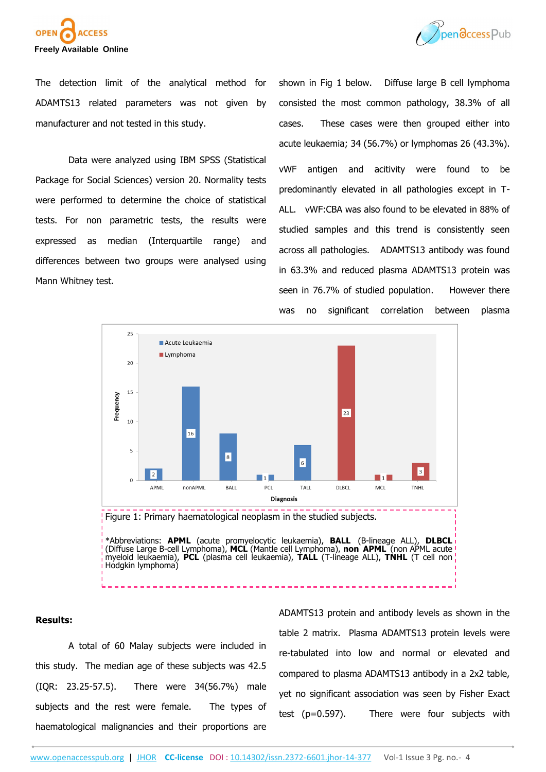



The detection limit of the analytical method for ADAMTS13 related parameters was not given by manufacturer and not tested in this study.

Data were analyzed using IBM SPSS (Statistical Package for Social Sciences) version 20. Normality tests were performed to determine the choice of statistical tests. For non parametric tests, the results were expressed as median (Interquartile range) and differences between two groups were analysed using Mann Whitney test.

shown in Fig 1 below. Diffuse large B cell lymphoma consisted the most common pathology, 38.3% of all cases. These cases were then grouped either into acute leukaemia; 34 (56.7%) or lymphomas 26 (43.3%). vWF antigen and acitivity were found to be predominantly elevated in all pathologies except in T-ALL. vWF:CBA was also found to be elevated in 88% of studied samples and this trend is consistently seen across all pathologies. ADAMTS13 antibody was found in 63.3% and reduced plasma ADAMTS13 protein was seen in 76.7% of studied population. However there was no significant correlation between plasma



#### **Results:**

A total of 60 Malay subjects were included in this study. The median age of these subjects was 42.5 (IQR: 23.25-57.5). There were 34(56.7%) male subjects and the rest were female. The types of haematological malignancies and their proportions are ADAMTS13 protein and antibody levels as shown in the table 2 matrix. Plasma ADAMTS13 protein levels were re-tabulated into low and normal or elevated and compared to plasma ADAMTS13 antibody in a 2x2 table, yet no significant association was seen by Fisher Exact test (p=0.597). There were four subjects with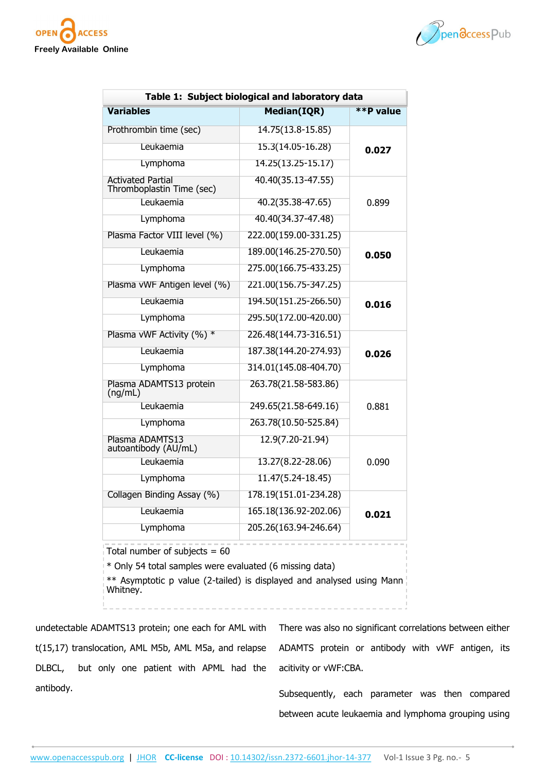



| Table 1: Subject biological and laboratory data                                                                                                                                 |                       |           |
|---------------------------------------------------------------------------------------------------------------------------------------------------------------------------------|-----------------------|-----------|
| <b>Variables</b>                                                                                                                                                                | <b>Median(IQR)</b>    | **P value |
| Prothrombin time (sec)                                                                                                                                                          | 14.75(13.8-15.85)     | 0.027     |
| Leukaemia                                                                                                                                                                       | 15.3(14.05-16.28)     |           |
| Lymphoma                                                                                                                                                                        | 14.25(13.25-15.17)    |           |
| <b>Activated Partial</b><br>Thromboplastin Time (sec)                                                                                                                           | 40.40(35.13-47.55)    |           |
| Leukaemia                                                                                                                                                                       | 40.2(35.38-47.65)     | 0.899     |
| Lymphoma                                                                                                                                                                        | 40.40(34.37-47.48)    |           |
| Plasma Factor VIII level (%)                                                                                                                                                    | 222.00(159.00-331.25) | 0.050     |
| Leukaemia                                                                                                                                                                       | 189.00(146.25-270.50) |           |
| Lymphoma                                                                                                                                                                        | 275.00(166.75-433.25) |           |
| Plasma vWF Antigen level (%)                                                                                                                                                    | 221.00(156.75-347.25) | 0.016     |
| Leukaemia                                                                                                                                                                       | 194.50(151.25-266.50) |           |
| Lymphoma                                                                                                                                                                        | 295.50(172.00-420.00) |           |
| Plasma vWF Activity (%) *                                                                                                                                                       | 226.48(144.73-316.51) | 0.026     |
| Leukaemia                                                                                                                                                                       | 187.38(144.20-274.93) |           |
| Lymphoma                                                                                                                                                                        | 314.01(145.08-404.70) |           |
| Plasma ADAMTS13 protein<br>(ng/mL)                                                                                                                                              | 263.78(21.58-583.86)  |           |
| Leukaemia                                                                                                                                                                       | 249.65(21.58-649.16)  | 0.881     |
| Lymphoma                                                                                                                                                                        | 263.78(10.50-525.84)  |           |
| Plasma ADAMTS13<br>autoantibody (AU/mL)                                                                                                                                         | 12.9(7.20-21.94)      | 0.090     |
| Leukaemia                                                                                                                                                                       | 13.27(8.22-28.06)     |           |
| Lymphoma                                                                                                                                                                        | 11.47(5.24-18.45)     |           |
| Collagen Binding Assay (%)                                                                                                                                                      | 178.19(151.01-234.28) | 0.021     |
| Leukaemia                                                                                                                                                                       | 165.18(136.92-202.06) |           |
| Lymphoma                                                                                                                                                                        | 205.26(163.94-246.64) |           |
| Total number of subjects = $60$<br>* Only 54 total samples were evaluated (6 missing data)<br>** Asymptotic p value (2-tailed) is displayed and analysed using Mann<br>Whitney. |                       |           |

undetectable ADAMTS13 protein; one each for AML with t(15,17) translocation, AML M5b, AML M5a, and relapse DLBCL, but only one patient with APML had the antibody.

There was also no significant correlations between either ADAMTS protein or antibody with vWF antigen, its acitivity or vWF:CBA.

Subsequently, each parameter was then compared between acute leukaemia and lymphoma grouping using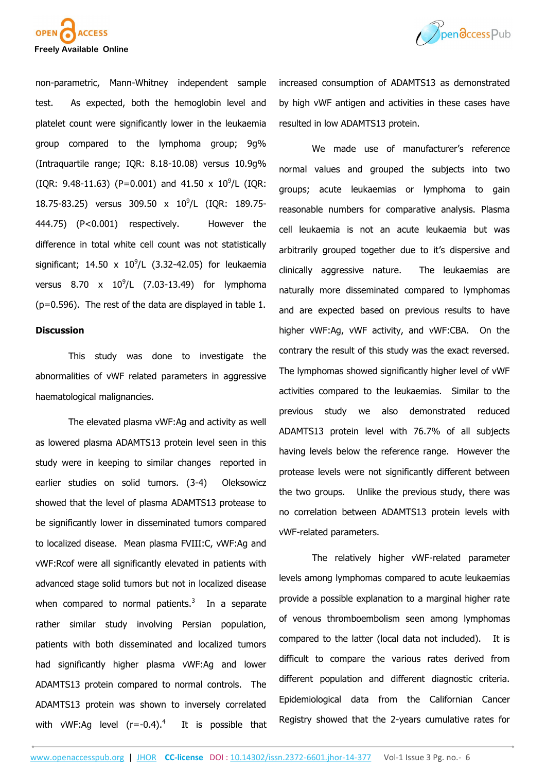



non-parametric, Mann-Whitney independent sample test. As expected, both the hemoglobin level and platelet count were significantly lower in the leukaemia group compared to the lymphoma group; 9g% (Intraquartile range; IQR: 8.18-10.08) versus 10.9g%  $(IQR: 9.48-11.63)$  (P=0.001) and 41.50 x 10<sup>9</sup>/L (IQR: 18.75-83.25) versus 309.50 x 10<sup>9</sup>/L (IQR: 189.75-444.75) (P<0.001) respectively. However the difference in total white cell count was not statistically significant; 14.50 x  $10^9$ /L (3.32-42.05) for leukaemia versus  $8.70 \times 10^{9}$ /L (7.03-13.49) for lymphoma (p=0.596). The rest of the data are displayed in table 1.

### **Discussion**

This study was done to investigate the abnormalities of vWF related parameters in aggressive haematological malignancies.

The elevated plasma vWF:Ag and activity as well as lowered plasma ADAMTS13 protein level seen in this study were in keeping to similar changes reported in earlier studies on solid tumors. (3-4) Oleksowicz showed that the level of plasma ADAMTS13 protease to be significantly lower in disseminated tumors compared to localized disease. Mean plasma FVIII:C, vWF:Ag and vWF:Rcof were all significantly elevated in patients with advanced stage solid tumors but not in localized disease when compared to normal patients. $3$  In a separate rather similar study involving Persian population, patients with both disseminated and localized tumors had significantly higher plasma vWF:Ag and lower ADAMTS13 protein compared to normal controls. The ADAMTS13 protein was shown to inversely correlated with vWF:Ag level  $(r=-0.4).<sup>4</sup>$ It is possible that

increased consumption of ADAMTS13 as demonstrated by high vWF antigen and activities in these cases have resulted in low ADAMTS13 protein.

We made use of manufacturer's reference normal values and grouped the subjects into two groups; acute leukaemias or lymphoma to gain reasonable numbers for comparative analysis. Plasma cell leukaemia is not an acute leukaemia but was arbitrarily grouped together due to it's dispersive and clinically aggressive nature. The leukaemias are naturally more disseminated compared to lymphomas and are expected based on previous results to have higher vWF:Ag, vWF activity, and vWF:CBA. On the contrary the result of this study was the exact reversed. The lymphomas showed significantly higher level of vWF activities compared to the leukaemias. Similar to the previous study we also demonstrated reduced ADAMTS13 protein level with 76.7% of all subjects having levels below the reference range. However the protease levels were not significantly different between the two groups. Unlike the previous study, there was no correlation between ADAMTS13 protein levels with vWF-related parameters.

The relatively higher vWF-related parameter levels among lymphomas compared to acute leukaemias provide a possible explanation to a marginal higher rate of venous thromboembolism seen among lymphomas compared to the latter (local data not included). It is difficult to compare the various rates derived from different population and different diagnostic criteria. Epidemiological data from the Californian Cancer Registry showed that the 2-years cumulative rates for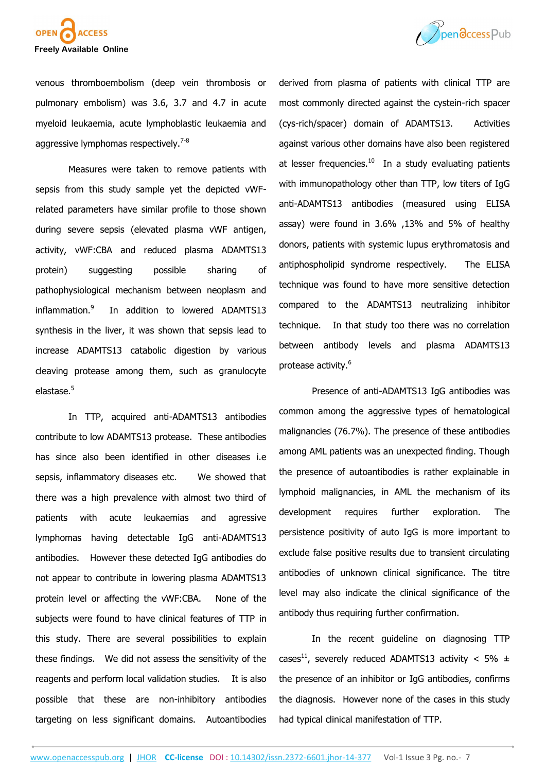



venous thromboembolism (deep vein thrombosis or pulmonary embolism) was 3.6, 3.7 and 4.7 in acute myeloid leukaemia, acute lymphoblastic leukaemia and aggressive lymphomas respectively.<sup>7-8</sup>

Measures were taken to remove patients with sepsis from this study sample yet the depicted vWFrelated parameters have similar profile to those shown during severe sepsis (elevated plasma vWF antigen, activity, vWF:CBA and reduced plasma ADAMTS13 protein) suggesting possible sharing of pathophysiological mechanism between neoplasm and inflammation.<sup>9</sup> In addition to lowered ADAMTS13 synthesis in the liver, it was shown that sepsis lead to increase ADAMTS13 catabolic digestion by various cleaving protease among them, such as granulocyte elastase.<sup>5</sup>

In TTP, acquired anti-ADAMTS13 antibodies contribute to low ADAMTS13 protease. These antibodies has since also been identified in other diseases i.e sepsis, inflammatory diseases etc. We showed that there was a high prevalence with almost two third of patients with acute leukaemias and agressive lymphomas having detectable IgG anti-ADAMTS13 antibodies. However these detected IgG antibodies do not appear to contribute in lowering plasma ADAMTS13 protein level or affecting the vWF:CBA. None of the subjects were found to have clinical features of TTP in this study. There are several possibilities to explain these findings. We did not assess the sensitivity of the reagents and perform local validation studies. It is also possible that these are non-inhibitory antibodies targeting on less significant domains. Autoantibodies derived from plasma of patients with clinical TTP are most commonly directed against the cystein-rich spacer (cys-rich/spacer) domain of ADAMTS13. Activities against various other domains have also been registered at lesser frequencies. $10$  In a study evaluating patients with immunopathology other than TTP, low titers of IgG anti-ADAMTS13 antibodies (measured using ELISA assay) were found in 3.6% ,13% and 5% of healthy donors, patients with systemic lupus erythromatosis and antiphospholipid syndrome respectively. The ELISA technique was found to have more sensitive detection compared to the ADAMTS13 neutralizing inhibitor technique. In that study too there was no correlation between antibody levels and plasma ADAMTS13 protease activity.<sup>6</sup>

Presence of anti-ADAMTS13 IgG antibodies was common among the aggressive types of hematological malignancies (76.7%). The presence of these antibodies among AML patients was an unexpected finding. Though the presence of autoantibodies is rather explainable in lymphoid malignancies, in AML the mechanism of its development requires further exploration. The persistence positivity of auto IgG is more important to exclude false positive results due to transient circulating antibodies of unknown clinical significance. The titre level may also indicate the clinical significance of the antibody thus requiring further confirmation.

In the recent guideline on diagnosing TTP cases<sup>11</sup>, severely reduced ADAMTS13 activity < 5%  $\pm$ the presence of an inhibitor or IgG antibodies, confirms the diagnosis. However none of the cases in this study had typical clinical manifestation of TTP.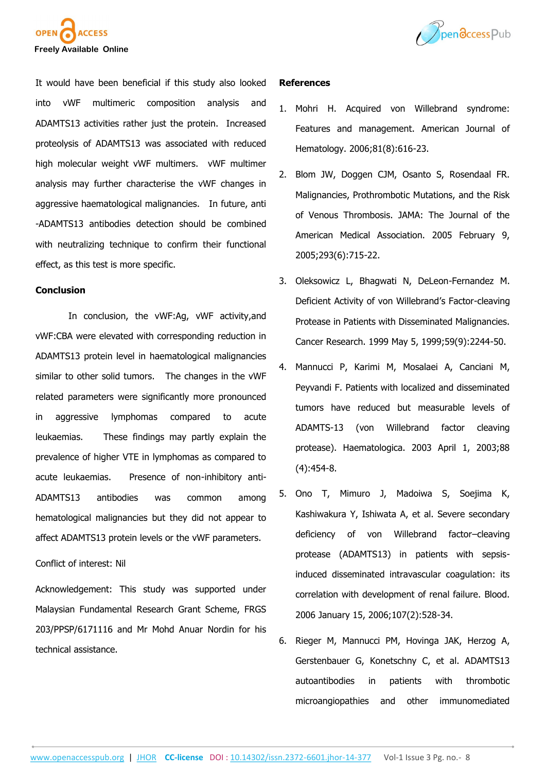



It would have been beneficial if this study also looked into vWF multimeric composition analysis and ADAMTS13 activities rather just the protein. Increased proteolysis of ADAMTS13 was associated with reduced high molecular weight vWF multimers. vWF multimer analysis may further characterise the vWF changes in aggressive haematological malignancies. In future, anti -ADAMTS13 antibodies detection should be combined with neutralizing technique to confirm their functional effect, as this test is more specific.

### **Conclusion**

In conclusion, the vWF:Ag, vWF activity,and vWF:CBA were elevated with corresponding reduction in ADAMTS13 protein level in haematological malignancies similar to other solid tumors. The changes in the vWF related parameters were significantly more pronounced in aggressive lymphomas compared to acute leukaemias. These findings may partly explain the prevalence of higher VTE in lymphomas as compared to acute leukaemias. Presence of non-inhibitory anti-ADAMTS13 antibodies was common among hematological malignancies but they did not appear to affect ADAMTS13 protein levels or the vWF parameters.

### Conflict of interest: Nil

Acknowledgement: This study was supported under Malaysian Fundamental Research Grant Scheme, FRGS 203/PPSP/6171116 and Mr Mohd Anuar Nordin for his technical assistance.

### **References**

- 1. Mohri H. Acquired von Willebrand syndrome: Features and management. American Journal of Hematology. 2006;81(8):616-23.
- 2. Blom JW, Doggen CJM, Osanto S, Rosendaal FR. Malignancies, Prothrombotic Mutations, and the Risk of Venous Thrombosis. JAMA: The Journal of the American Medical Association. 2005 February 9, 2005;293(6):715-22.
- 3. Oleksowicz L, Bhagwati N, DeLeon-Fernandez M. Deficient Activity of von Willebrand's Factor-cleaving Protease in Patients with Disseminated Malignancies. Cancer Research. 1999 May 5, 1999;59(9):2244-50.
- 4. Mannucci P, Karimi M, Mosalaei A, Canciani M, Peyvandi F. Patients with localized and disseminated tumors have reduced but measurable levels of ADAMTS-13 (von Willebrand factor cleaving protease). Haematologica. 2003 April 1, 2003;88 (4):454-8.
- 5. Ono T, Mimuro J, Madoiwa S, Soejima K, Kashiwakura Y, Ishiwata A, et al. Severe secondary deficiency of von Willebrand factor–cleaving protease (ADAMTS13) in patients with sepsisinduced disseminated intravascular coagulation: its correlation with development of renal failure. Blood. 2006 January 15, 2006;107(2):528-34.
- 6. Rieger M, Mannucci PM, Hovinga JAK, Herzog A, Gerstenbauer G, Konetschny C, et al. ADAMTS13 autoantibodies in patients with thrombotic microangiopathies and other immunomediated